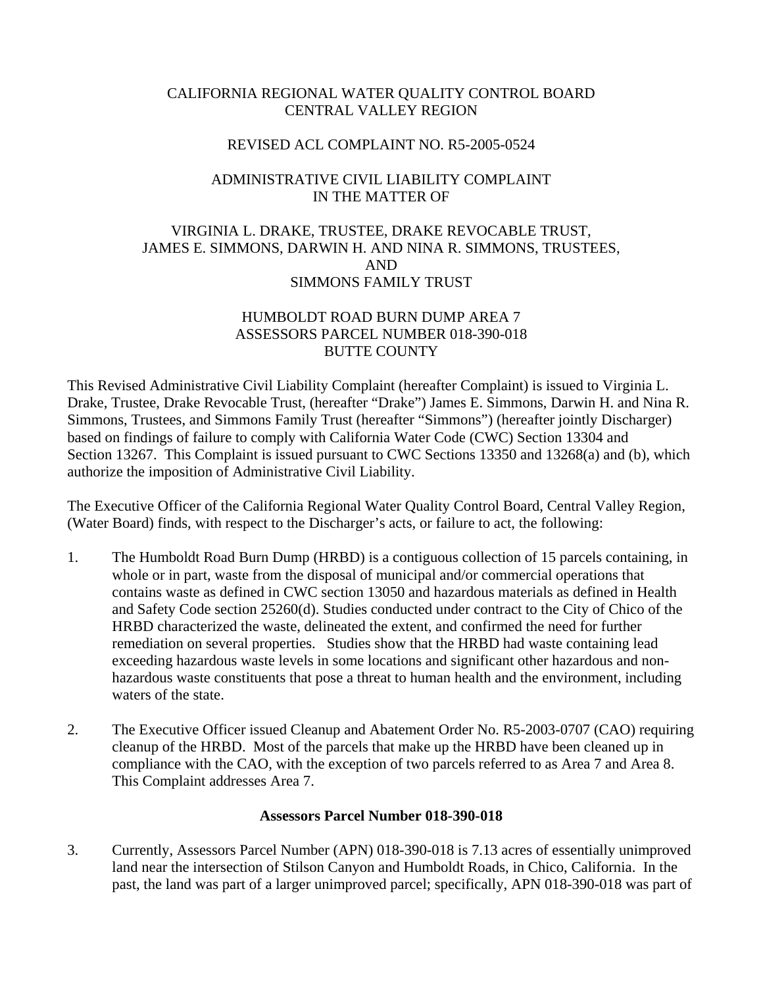### CALIFORNIA REGIONAL WATER QUALITY CONTROL BOARD CENTRAL VALLEY REGION

#### REVISED ACL COMPLAINT NO. R5-2005-0524

# ADMINISTRATIVE CIVIL LIABILITY COMPLAINT IN THE MATTER OF

# VIRGINIA L. DRAKE, TRUSTEE, DRAKE REVOCABLE TRUST, JAMES E. SIMMONS, DARWIN H. AND NINA R. SIMMONS, TRUSTEES, AND SIMMONS FAMILY TRUST

## HUMBOLDT ROAD BURN DUMP AREA 7 ASSESSORS PARCEL NUMBER 018-390-018 BUTTE COUNTY

This Revised Administrative Civil Liability Complaint (hereafter Complaint) is issued to Virginia L. Drake, Trustee, Drake Revocable Trust, (hereafter "Drake") James E. Simmons, Darwin H. and Nina R. Simmons, Trustees, and Simmons Family Trust (hereafter "Simmons") (hereafter jointly Discharger) based on findings of failure to comply with California Water Code (CWC) Section 13304 and Section 13267. This Complaint is issued pursuant to CWC Sections 13350 and 13268(a) and (b), which authorize the imposition of Administrative Civil Liability.

The Executive Officer of the California Regional Water Quality Control Board, Central Valley Region, (Water Board) finds, with respect to the Discharger's acts, or failure to act, the following:

- 1. The Humboldt Road Burn Dump (HRBD) is a contiguous collection of 15 parcels containing, in whole or in part, waste from the disposal of municipal and/or commercial operations that contains waste as defined in CWC section 13050 and hazardous materials as defined in Health and Safety Code section 25260(d). Studies conducted under contract to the City of Chico of the HRBD characterized the waste, delineated the extent, and confirmed the need for further remediation on several properties. Studies show that the HRBD had waste containing lead exceeding hazardous waste levels in some locations and significant other hazardous and nonhazardous waste constituents that pose a threat to human health and the environment, including waters of the state.
- 2. The Executive Officer issued Cleanup and Abatement Order No. R5-2003-0707 (CAO) requiring cleanup of the HRBD. Most of the parcels that make up the HRBD have been cleaned up in compliance with the CAO, with the exception of two parcels referred to as Area 7 and Area 8. This Complaint addresses Area 7.

### **Assessors Parcel Number 018-390-018**

3. Currently, Assessors Parcel Number (APN) 018-390-018 is 7.13 acres of essentially unimproved land near the intersection of Stilson Canyon and Humboldt Roads, in Chico, California. In the past, the land was part of a larger unimproved parcel; specifically, APN 018-390-018 was part of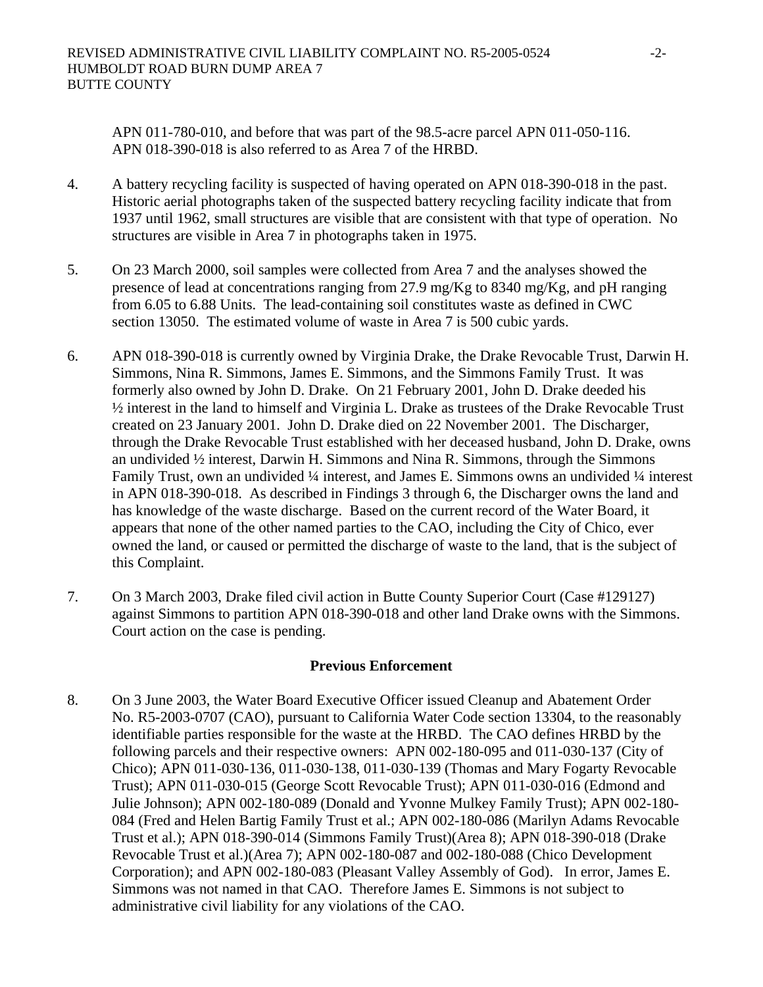APN 011-780-010, and before that was part of the 98.5-acre parcel APN 011-050-116. APN 018-390-018 is also referred to as Area 7 of the HRBD.

- 4. A battery recycling facility is suspected of having operated on APN 018-390-018 in the past. Historic aerial photographs taken of the suspected battery recycling facility indicate that from 1937 until 1962, small structures are visible that are consistent with that type of operation. No structures are visible in Area 7 in photographs taken in 1975.
- 5. On 23 March 2000, soil samples were collected from Area 7 and the analyses showed the presence of lead at concentrations ranging from 27.9 mg/Kg to 8340 mg/Kg, and pH ranging from 6.05 to 6.88 Units. The lead-containing soil constitutes waste as defined in CWC section 13050. The estimated volume of waste in Area 7 is 500 cubic yards.
- 6. APN 018-390-018 is currently owned by Virginia Drake, the Drake Revocable Trust, Darwin H. Simmons, Nina R. Simmons, James E. Simmons, and the Simmons Family Trust. It was formerly also owned by John D. Drake. On 21 February 2001, John D. Drake deeded his ½ interest in the land to himself and Virginia L. Drake as trustees of the Drake Revocable Trust created on 23 January 2001. John D. Drake died on 22 November 2001. The Discharger, through the Drake Revocable Trust established with her deceased husband, John D. Drake, owns an undivided ½ interest, Darwin H. Simmons and Nina R. Simmons, through the Simmons Family Trust, own an undivided ¼ interest, and James E. Simmons owns an undivided ¼ interest in APN 018-390-018. As described in Findings 3 through 6, the Discharger owns the land and has knowledge of the waste discharge. Based on the current record of the Water Board, it appears that none of the other named parties to the CAO, including the City of Chico, ever owned the land, or caused or permitted the discharge of waste to the land, that is the subject of this Complaint.
- 7. On 3 March 2003, Drake filed civil action in Butte County Superior Court (Case #129127) against Simmons to partition APN 018-390-018 and other land Drake owns with the Simmons. Court action on the case is pending.

### **Previous Enforcement**

8. On 3 June 2003, the Water Board Executive Officer issued Cleanup and Abatement Order No. R5-2003-0707 (CAO), pursuant to California Water Code section 13304, to the reasonably identifiable parties responsible for the waste at the HRBD. The CAO defines HRBD by the following parcels and their respective owners: APN 002-180-095 and 011-030-137 (City of Chico); APN 011-030-136, 011-030-138, 011-030-139 (Thomas and Mary Fogarty Revocable Trust); APN 011-030-015 (George Scott Revocable Trust); APN 011-030-016 (Edmond and Julie Johnson); APN 002-180-089 (Donald and Yvonne Mulkey Family Trust); APN 002-180- 084 (Fred and Helen Bartig Family Trust et al.; APN 002-180-086 (Marilyn Adams Revocable Trust et al.); APN 018-390-014 (Simmons Family Trust)(Area 8); APN 018-390-018 (Drake Revocable Trust et al.)(Area 7); APN 002-180-087 and 002-180-088 (Chico Development Corporation); and APN 002-180-083 (Pleasant Valley Assembly of God). In error, James E. Simmons was not named in that CAO. Therefore James E. Simmons is not subject to administrative civil liability for any violations of the CAO.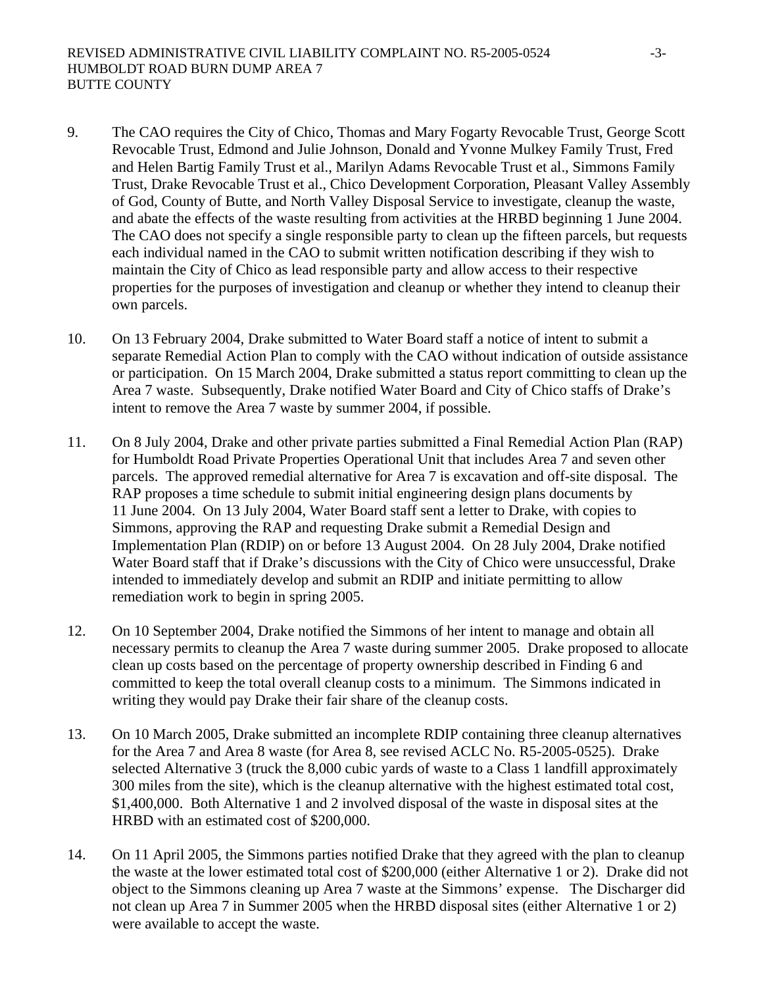- 9. The CAO requires the City of Chico, Thomas and Mary Fogarty Revocable Trust, George Scott Revocable Trust, Edmond and Julie Johnson, Donald and Yvonne Mulkey Family Trust, Fred and Helen Bartig Family Trust et al., Marilyn Adams Revocable Trust et al., Simmons Family Trust, Drake Revocable Trust et al., Chico Development Corporation, Pleasant Valley Assembly of God, County of Butte, and North Valley Disposal Service to investigate, cleanup the waste, and abate the effects of the waste resulting from activities at the HRBD beginning 1 June 2004. The CAO does not specify a single responsible party to clean up the fifteen parcels, but requests each individual named in the CAO to submit written notification describing if they wish to maintain the City of Chico as lead responsible party and allow access to their respective properties for the purposes of investigation and cleanup or whether they intend to cleanup their own parcels.
- 10. On 13 February 2004, Drake submitted to Water Board staff a notice of intent to submit a separate Remedial Action Plan to comply with the CAO without indication of outside assistance or participation. On 15 March 2004, Drake submitted a status report committing to clean up the Area 7 waste. Subsequently, Drake notified Water Board and City of Chico staffs of Drake's intent to remove the Area 7 waste by summer 2004, if possible.
- 11. On 8 July 2004, Drake and other private parties submitted a Final Remedial Action Plan (RAP) for Humboldt Road Private Properties Operational Unit that includes Area 7 and seven other parcels. The approved remedial alternative for Area 7 is excavation and off-site disposal. The RAP proposes a time schedule to submit initial engineering design plans documents by 11 June 2004. On 13 July 2004, Water Board staff sent a letter to Drake, with copies to Simmons, approving the RAP and requesting Drake submit a Remedial Design and Implementation Plan (RDIP) on or before 13 August 2004. On 28 July 2004, Drake notified Water Board staff that if Drake's discussions with the City of Chico were unsuccessful, Drake intended to immediately develop and submit an RDIP and initiate permitting to allow remediation work to begin in spring 2005.
- 12. On 10 September 2004, Drake notified the Simmons of her intent to manage and obtain all necessary permits to cleanup the Area 7 waste during summer 2005. Drake proposed to allocate clean up costs based on the percentage of property ownership described in Finding 6 and committed to keep the total overall cleanup costs to a minimum. The Simmons indicated in writing they would pay Drake their fair share of the cleanup costs.
- 13. On 10 March 2005, Drake submitted an incomplete RDIP containing three cleanup alternatives for the Area 7 and Area 8 waste (for Area 8, see revised ACLC No. R5-2005-0525). Drake selected Alternative 3 (truck the 8,000 cubic yards of waste to a Class 1 landfill approximately 300 miles from the site), which is the cleanup alternative with the highest estimated total cost, \$1,400,000. Both Alternative 1 and 2 involved disposal of the waste in disposal sites at the HRBD with an estimated cost of \$200,000.
- 14. On 11 April 2005, the Simmons parties notified Drake that they agreed with the plan to cleanup the waste at the lower estimated total cost of \$200,000 (either Alternative 1 or 2). Drake did not object to the Simmons cleaning up Area 7 waste at the Simmons' expense. The Discharger did not clean up Area 7 in Summer 2005 when the HRBD disposal sites (either Alternative 1 or 2) were available to accept the waste.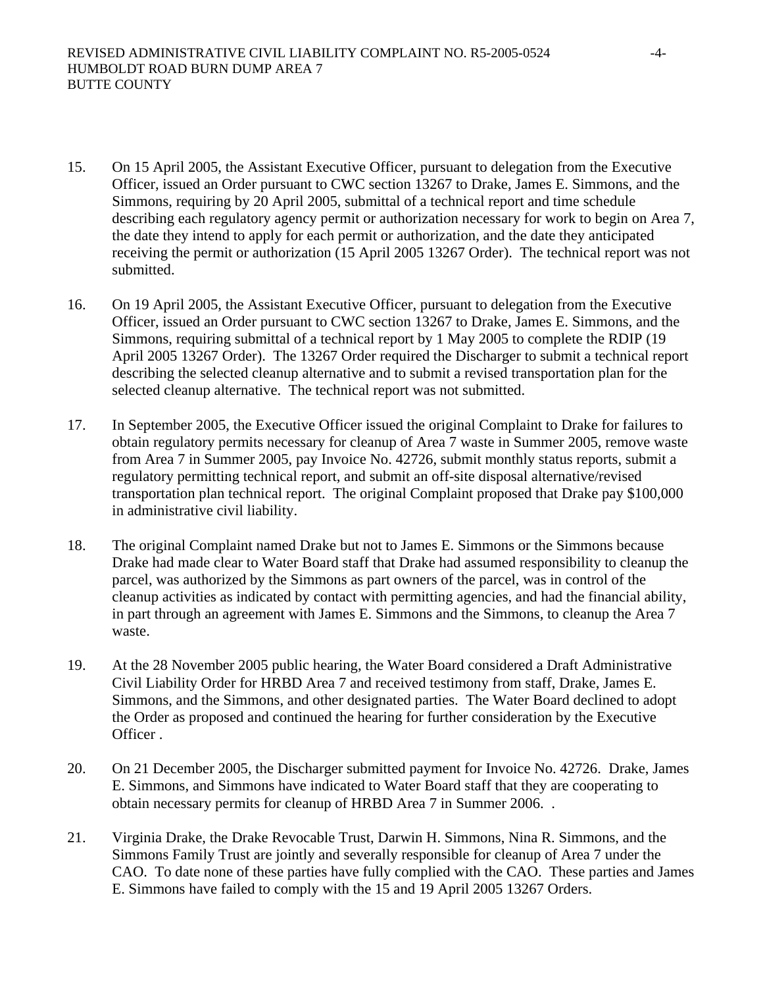- 15. On 15 April 2005, the Assistant Executive Officer, pursuant to delegation from the Executive Officer, issued an Order pursuant to CWC section 13267 to Drake, James E. Simmons, and the Simmons, requiring by 20 April 2005, submittal of a technical report and time schedule describing each regulatory agency permit or authorization necessary for work to begin on Area 7, the date they intend to apply for each permit or authorization, and the date they anticipated receiving the permit or authorization (15 April 2005 13267 Order). The technical report was not submitted.
- 16. On 19 April 2005, the Assistant Executive Officer, pursuant to delegation from the Executive Officer, issued an Order pursuant to CWC section 13267 to Drake, James E. Simmons, and the Simmons, requiring submittal of a technical report by 1 May 2005 to complete the RDIP (19 April 2005 13267 Order). The 13267 Order required the Discharger to submit a technical report describing the selected cleanup alternative and to submit a revised transportation plan for the selected cleanup alternative. The technical report was not submitted.
- 17. In September 2005, the Executive Officer issued the original Complaint to Drake for failures to obtain regulatory permits necessary for cleanup of Area 7 waste in Summer 2005, remove waste from Area 7 in Summer 2005, pay Invoice No. 42726, submit monthly status reports, submit a regulatory permitting technical report, and submit an off-site disposal alternative/revised transportation plan technical report. The original Complaint proposed that Drake pay \$100,000 in administrative civil liability.
- 18. The original Complaint named Drake but not to James E. Simmons or the Simmons because Drake had made clear to Water Board staff that Drake had assumed responsibility to cleanup the parcel, was authorized by the Simmons as part owners of the parcel, was in control of the cleanup activities as indicated by contact with permitting agencies, and had the financial ability, in part through an agreement with James E. Simmons and the Simmons, to cleanup the Area 7 waste.
- 19. At the 28 November 2005 public hearing, the Water Board considered a Draft Administrative Civil Liability Order for HRBD Area 7 and received testimony from staff, Drake, James E. Simmons, and the Simmons, and other designated parties. The Water Board declined to adopt the Order as proposed and continued the hearing for further consideration by the Executive Officer .
- 20. On 21 December 2005, the Discharger submitted payment for Invoice No. 42726. Drake, James E. Simmons, and Simmons have indicated to Water Board staff that they are cooperating to obtain necessary permits for cleanup of HRBD Area 7 in Summer 2006. .
- 21. Virginia Drake, the Drake Revocable Trust, Darwin H. Simmons, Nina R. Simmons, and the Simmons Family Trust are jointly and severally responsible for cleanup of Area 7 under the CAO. To date none of these parties have fully complied with the CAO. These parties and James E. Simmons have failed to comply with the 15 and 19 April 2005 13267 Orders.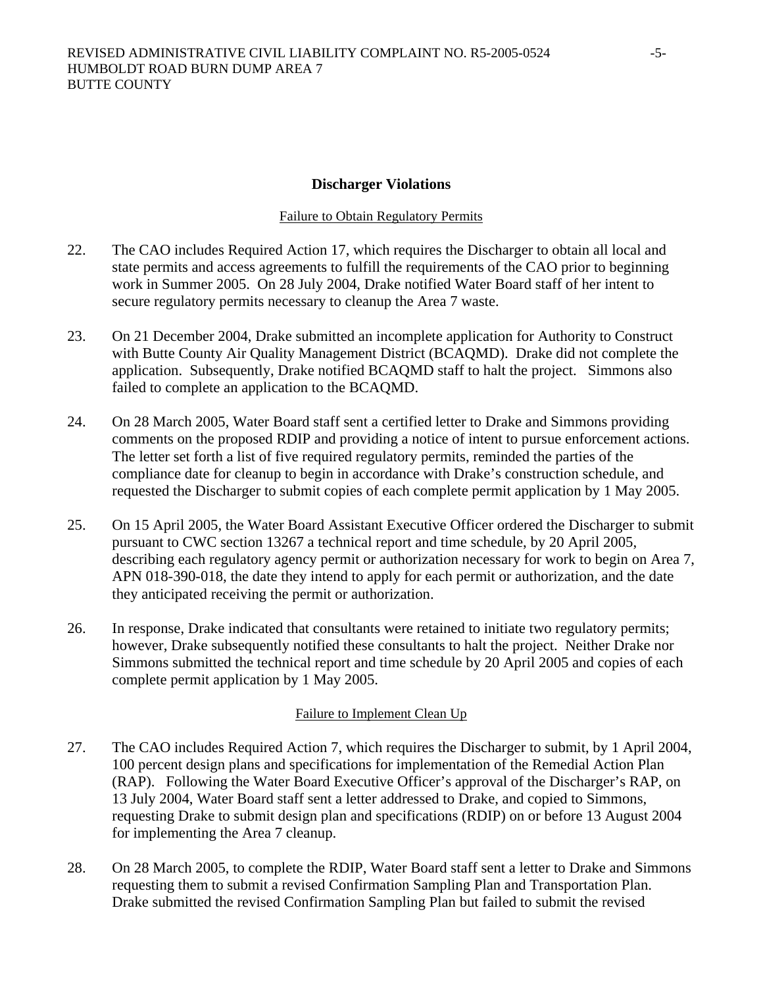#### **Discharger Violations**

#### Failure to Obtain Regulatory Permits

- 22. The CAO includes Required Action 17, which requires the Discharger to obtain all local and state permits and access agreements to fulfill the requirements of the CAO prior to beginning work in Summer 2005. On 28 July 2004, Drake notified Water Board staff of her intent to secure regulatory permits necessary to cleanup the Area 7 waste.
- 23. On 21 December 2004, Drake submitted an incomplete application for Authority to Construct with Butte County Air Quality Management District (BCAQMD). Drake did not complete the application. Subsequently, Drake notified BCAQMD staff to halt the project. Simmons also failed to complete an application to the BCAQMD.
- 24. On 28 March 2005, Water Board staff sent a certified letter to Drake and Simmons providing comments on the proposed RDIP and providing a notice of intent to pursue enforcement actions. The letter set forth a list of five required regulatory permits, reminded the parties of the compliance date for cleanup to begin in accordance with Drake's construction schedule, and requested the Discharger to submit copies of each complete permit application by 1 May 2005.
- 25. On 15 April 2005, the Water Board Assistant Executive Officer ordered the Discharger to submit pursuant to CWC section 13267 a technical report and time schedule, by 20 April 2005, describing each regulatory agency permit or authorization necessary for work to begin on Area 7, APN 018-390-018, the date they intend to apply for each permit or authorization, and the date they anticipated receiving the permit or authorization.
- 26. In response, Drake indicated that consultants were retained to initiate two regulatory permits; however, Drake subsequently notified these consultants to halt the project. Neither Drake nor Simmons submitted the technical report and time schedule by 20 April 2005 and copies of each complete permit application by 1 May 2005.

### Failure to Implement Clean Up

- 27. The CAO includes Required Action 7, which requires the Discharger to submit, by 1 April 2004, 100 percent design plans and specifications for implementation of the Remedial Action Plan (RAP). Following the Water Board Executive Officer's approval of the Discharger's RAP, on 13 July 2004, Water Board staff sent a letter addressed to Drake, and copied to Simmons, requesting Drake to submit design plan and specifications (RDIP) on or before 13 August 2004 for implementing the Area 7 cleanup.
- 28. On 28 March 2005, to complete the RDIP, Water Board staff sent a letter to Drake and Simmons requesting them to submit a revised Confirmation Sampling Plan and Transportation Plan. Drake submitted the revised Confirmation Sampling Plan but failed to submit the revised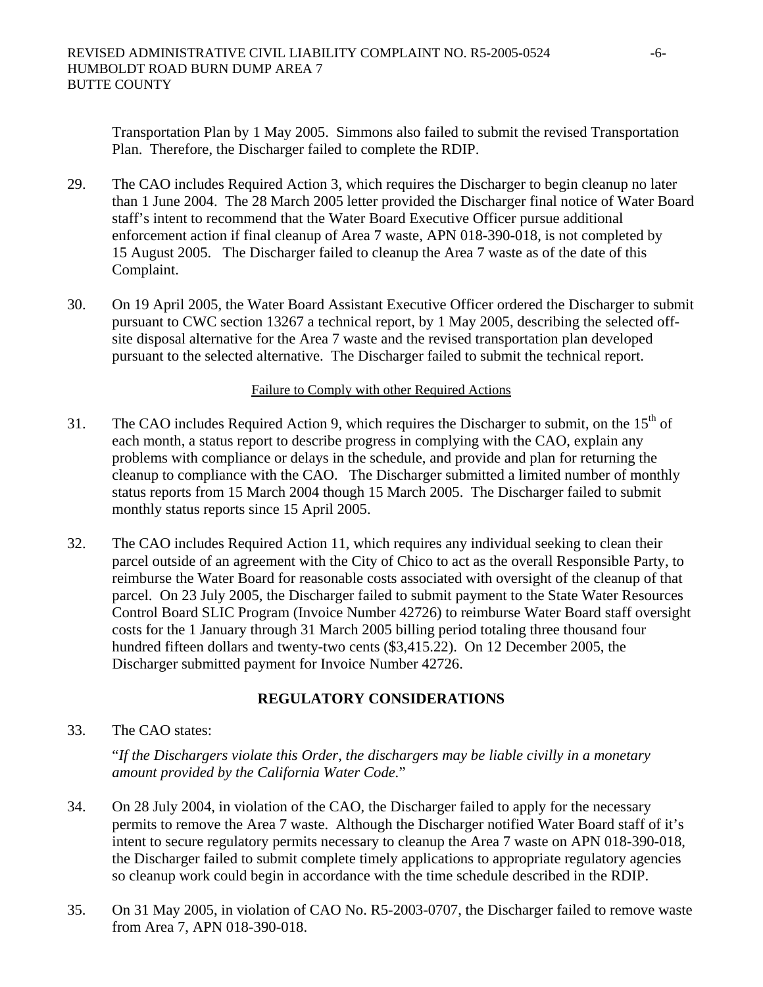Transportation Plan by 1 May 2005. Simmons also failed to submit the revised Transportation Plan. Therefore, the Discharger failed to complete the RDIP.

- 29. The CAO includes Required Action 3, which requires the Discharger to begin cleanup no later than 1 June 2004. The 28 March 2005 letter provided the Discharger final notice of Water Board staff's intent to recommend that the Water Board Executive Officer pursue additional enforcement action if final cleanup of Area 7 waste, APN 018-390-018, is not completed by 15 August 2005. The Discharger failed to cleanup the Area 7 waste as of the date of this Complaint.
- 30. On 19 April 2005, the Water Board Assistant Executive Officer ordered the Discharger to submit pursuant to CWC section 13267 a technical report, by 1 May 2005, describing the selected offsite disposal alternative for the Area 7 waste and the revised transportation plan developed pursuant to the selected alternative. The Discharger failed to submit the technical report.

#### Failure to Comply with other Required Actions

- 31. The CAO includes Required Action 9, which requires the Discharger to submit, on the  $15<sup>th</sup>$  of each month, a status report to describe progress in complying with the CAO, explain any problems with compliance or delays in the schedule, and provide and plan for returning the cleanup to compliance with the CAO. The Discharger submitted a limited number of monthly status reports from 15 March 2004 though 15 March 2005. The Discharger failed to submit monthly status reports since 15 April 2005.
- 32. The CAO includes Required Action 11, which requires any individual seeking to clean their parcel outside of an agreement with the City of Chico to act as the overall Responsible Party, to reimburse the Water Board for reasonable costs associated with oversight of the cleanup of that parcel. On 23 July 2005, the Discharger failed to submit payment to the State Water Resources Control Board SLIC Program (Invoice Number 42726) to reimburse Water Board staff oversight costs for the 1 January through 31 March 2005 billing period totaling three thousand four hundred fifteen dollars and twenty-two cents (\$3,415.22). On 12 December 2005, the Discharger submitted payment for Invoice Number 42726.

# **REGULATORY CONSIDERATIONS**

33. The CAO states:

"*If the Dischargers violate this Order, the dischargers may be liable civilly in a monetary amount provided by the California Water Code.*"

- 34. On 28 July 2004, in violation of the CAO, the Discharger failed to apply for the necessary permits to remove the Area 7 waste. Although the Discharger notified Water Board staff of it's intent to secure regulatory permits necessary to cleanup the Area 7 waste on APN 018-390-018, the Discharger failed to submit complete timely applications to appropriate regulatory agencies so cleanup work could begin in accordance with the time schedule described in the RDIP.
- 35. On 31 May 2005, in violation of CAO No. R5-2003-0707, the Discharger failed to remove waste from Area 7, APN 018-390-018.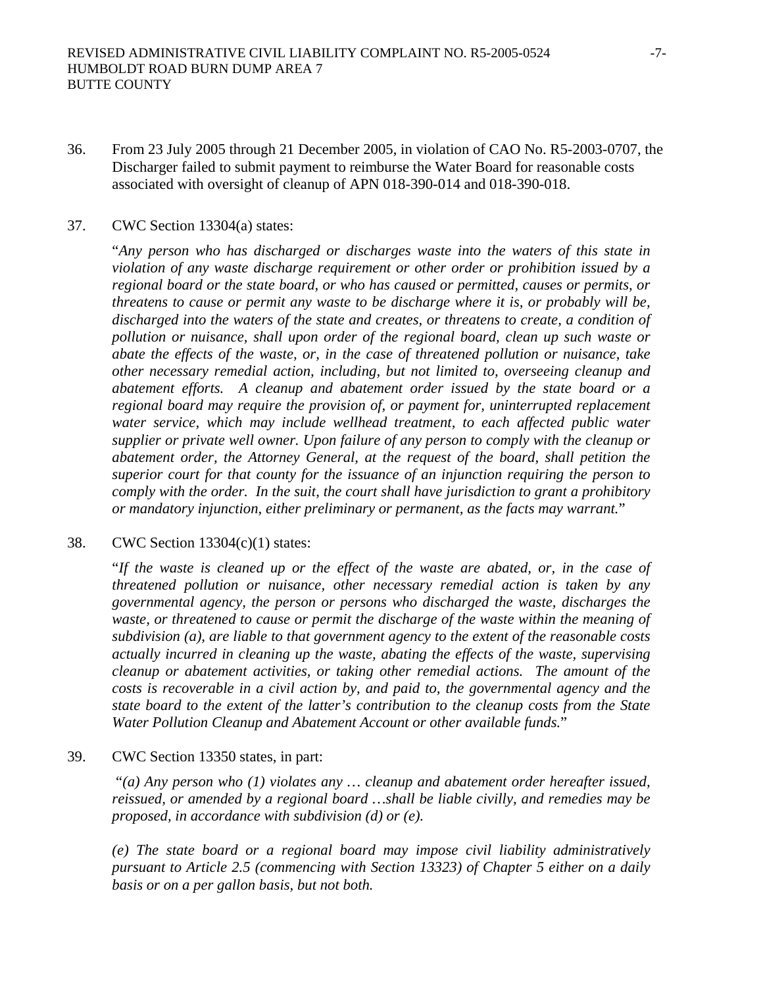36. From 23 July 2005 through 21 December 2005, in violation of CAO No. R5-2003-0707, the Discharger failed to submit payment to reimburse the Water Board for reasonable costs associated with oversight of cleanup of APN 018-390-014 and 018-390-018.

#### 37. CWC Section 13304(a) states:

"*Any person who has discharged or discharges waste into the waters of this state in violation of any waste discharge requirement or other order or prohibition issued by a regional board or the state board, or who has caused or permitted, causes or permits, or threatens to cause or permit any waste to be discharge where it is, or probably will be, discharged into the waters of the state and creates, or threatens to create, a condition of pollution or nuisance, shall upon order of the regional board, clean up such waste or abate the effects of the waste, or, in the case of threatened pollution or nuisance, take other necessary remedial action, including, but not limited to, overseeing cleanup and abatement efforts. A cleanup and abatement order issued by the state board or a regional board may require the provision of, or payment for, uninterrupted replacement*  water service, which may include wellhead treatment, to each affected public water *supplier or private well owner. Upon failure of any person to comply with the cleanup or abatement order, the Attorney General, at the request of the board, shall petition the superior court for that county for the issuance of an injunction requiring the person to comply with the order. In the suit, the court shall have jurisdiction to grant a prohibitory or mandatory injunction, either preliminary or permanent, as the facts may warrant.*"

#### 38. CWC Section 13304(c)(1) states:

"*If the waste is cleaned up or the effect of the waste are abated, or, in the case of threatened pollution or nuisance, other necessary remedial action is taken by any governmental agency, the person or persons who discharged the waste, discharges the*  waste, or threatened to cause or permit the discharge of the waste within the meaning of *subdivision (a), are liable to that government agency to the extent of the reasonable costs actually incurred in cleaning up the waste, abating the effects of the waste, supervising cleanup or abatement activities, or taking other remedial actions. The amount of the costs is recoverable in a civil action by, and paid to, the governmental agency and the state board to the extent of the latter's contribution to the cleanup costs from the State Water Pollution Cleanup and Abatement Account or other available funds.*"

#### 39. CWC Section 13350 states, in part:

 "*(a) Any person who (1) violates any … cleanup and abatement order hereafter issued, reissued, or amended by a regional board …shall be liable civilly, and remedies may be proposed, in accordance with subdivision (d) or (e).* 

*(e) The state board or a regional board may impose civil liability administratively pursuant to Article 2.5 (commencing with Section 13323) of Chapter 5 either on a daily basis or on a per gallon basis, but not both.*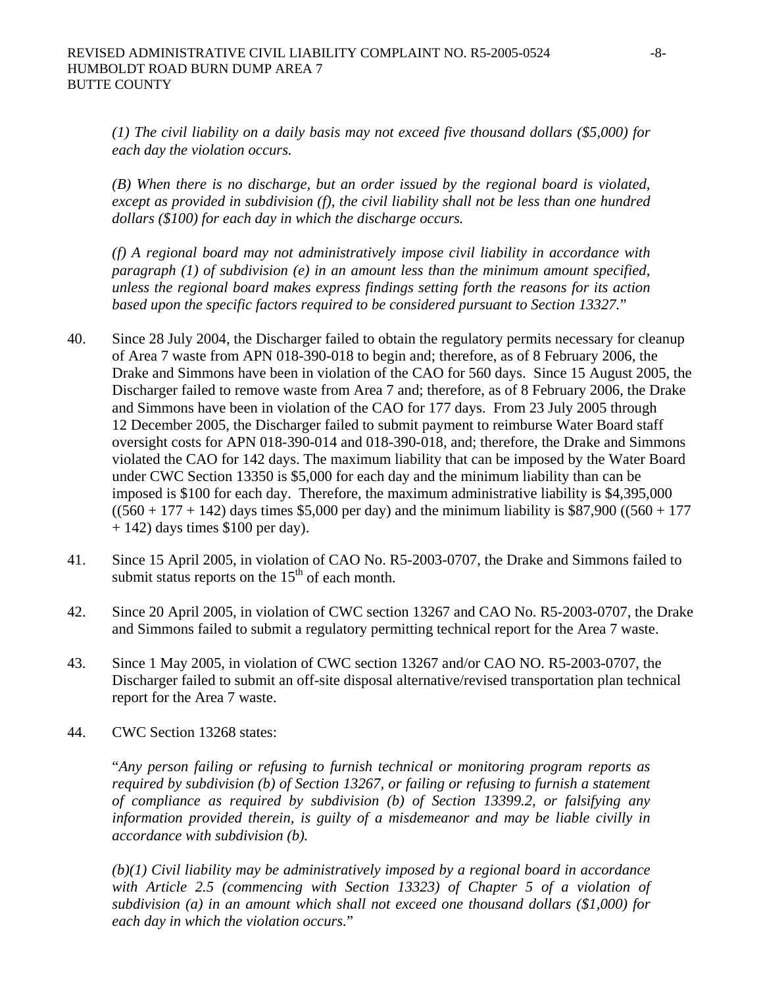*(1) The civil liability on a daily basis may not exceed five thousand dollars (\$5,000) for each day the violation occurs.* 

*(B) When there is no discharge, but an order issued by the regional board is violated, except as provided in subdivision (f), the civil liability shall not be less than one hundred dollars (\$100) for each day in which the discharge occurs.* 

*(f) A regional board may not administratively impose civil liability in accordance with paragraph (1) of subdivision (e) in an amount less than the minimum amount specified, unless the regional board makes express findings setting forth the reasons for its action based upon the specific factors required to be considered pursuant to Section 13327.*"

- 40. Since 28 July 2004, the Discharger failed to obtain the regulatory permits necessary for cleanup of Area 7 waste from APN 018-390-018 to begin and; therefore, as of 8 February 2006, the Drake and Simmons have been in violation of the CAO for 560 days. Since 15 August 2005, the Discharger failed to remove waste from Area 7 and; therefore, as of 8 February 2006, the Drake and Simmons have been in violation of the CAO for 177 days. From 23 July 2005 through 12 December 2005, the Discharger failed to submit payment to reimburse Water Board staff oversight costs for APN 018-390-014 and 018-390-018, and; therefore, the Drake and Simmons violated the CAO for 142 days. The maximum liability that can be imposed by the Water Board under CWC Section 13350 is \$5,000 for each day and the minimum liability than can be imposed is \$100 for each day. Therefore, the maximum administrative liability is \$4,395,000  $((560 + 177 + 142)$  days times \$5,000 per day) and the minimum liability is \$87,900 ((560 + 177)  $+ 142$ ) days times \$100 per day).
- 41. Since 15 April 2005, in violation of CAO No. R5-2003-0707, the Drake and Simmons failed to submit status reports on the  $15<sup>th</sup>$  of each month.
- 42. Since 20 April 2005, in violation of CWC section 13267 and CAO No. R5-2003-0707, the Drake and Simmons failed to submit a regulatory permitting technical report for the Area 7 waste.
- 43. Since 1 May 2005, in violation of CWC section 13267 and/or CAO NO. R5-2003-0707, the Discharger failed to submit an off-site disposal alternative/revised transportation plan technical report for the Area 7 waste.
- 44. CWC Section 13268 states:

"*Any person failing or refusing to furnish technical or monitoring program reports as required by subdivision (b) of Section 13267, or failing or refusing to furnish a statement of compliance as required by subdivision (b) of Section 13399.2, or falsifying any information provided therein, is guilty of a misdemeanor and may be liable civilly in accordance with subdivision (b).* 

*(b)(1) Civil liability may be administratively imposed by a regional board in accordance with Article 2.5 (commencing with Section 13323) of Chapter 5 of a violation of subdivision (a) in an amount which shall not exceed one thousand dollars (\$1,000) for each day in which the violation occurs.*"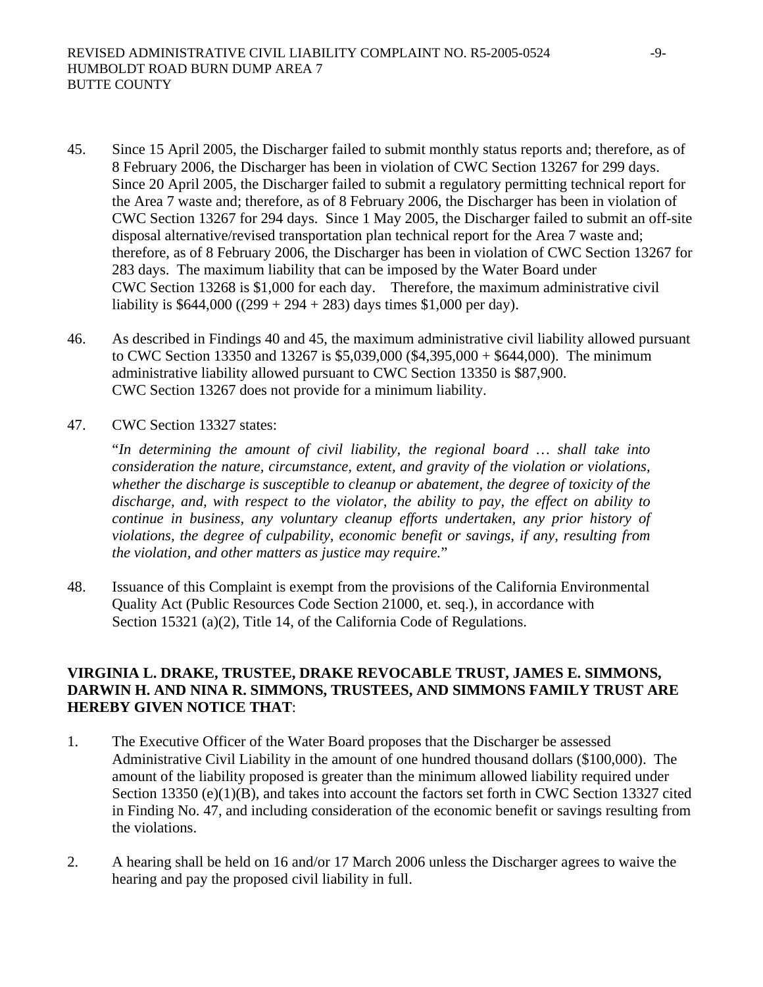- 45. Since 15 April 2005, the Discharger failed to submit monthly status reports and; therefore, as of 8 February 2006, the Discharger has been in violation of CWC Section 13267 for 299 days. Since 20 April 2005, the Discharger failed to submit a regulatory permitting technical report for the Area 7 waste and; therefore, as of 8 February 2006, the Discharger has been in violation of CWC Section 13267 for 294 days. Since 1 May 2005, the Discharger failed to submit an off-site disposal alternative/revised transportation plan technical report for the Area 7 waste and; therefore, as of 8 February 2006, the Discharger has been in violation of CWC Section 13267 for 283 days. The maximum liability that can be imposed by the Water Board under CWC Section 13268 is \$1,000 for each day. Therefore, the maximum administrative civil liability is  $$644,000 ((299 + 294 + 283)$  days times \$1,000 per day).
- 46. As described in Findings 40 and 45, the maximum administrative civil liability allowed pursuant to CWC Section 13350 and 13267 is \$5,039,000 (\$4,395,000 + \$644,000). The minimum administrative liability allowed pursuant to CWC Section 13350 is \$87,900. CWC Section 13267 does not provide for a minimum liability.
- 47. CWC Section 13327 states:

"*In determining the amount of civil liability, the regional board … shall take into consideration the nature, circumstance, extent, and gravity of the violation or violations, whether the discharge is susceptible to cleanup or abatement, the degree of toxicity of the discharge, and, with respect to the violator, the ability to pay, the effect on ability to continue in business, any voluntary cleanup efforts undertaken, any prior history of violations, the degree of culpability, economic benefit or savings, if any, resulting from the violation, and other matters as justice may require.*"

48. Issuance of this Complaint is exempt from the provisions of the California Environmental Quality Act (Public Resources Code Section 21000, et. seq.), in accordance with Section 15321 (a)(2), Title 14, of the California Code of Regulations.

### **VIRGINIA L. DRAKE, TRUSTEE, DRAKE REVOCABLE TRUST, JAMES E. SIMMONS, DARWIN H. AND NINA R. SIMMONS, TRUSTEES, AND SIMMONS FAMILY TRUST ARE HEREBY GIVEN NOTICE THAT**:

- 1. The Executive Officer of the Water Board proposes that the Discharger be assessed Administrative Civil Liability in the amount of one hundred thousand dollars (\$100,000). The amount of the liability proposed is greater than the minimum allowed liability required under Section 13350 (e)(1)(B), and takes into account the factors set forth in CWC Section 13327 cited in Finding No. 47, and including consideration of the economic benefit or savings resulting from the violations.
- 2. A hearing shall be held on 16 and/or 17 March 2006 unless the Discharger agrees to waive the hearing and pay the proposed civil liability in full.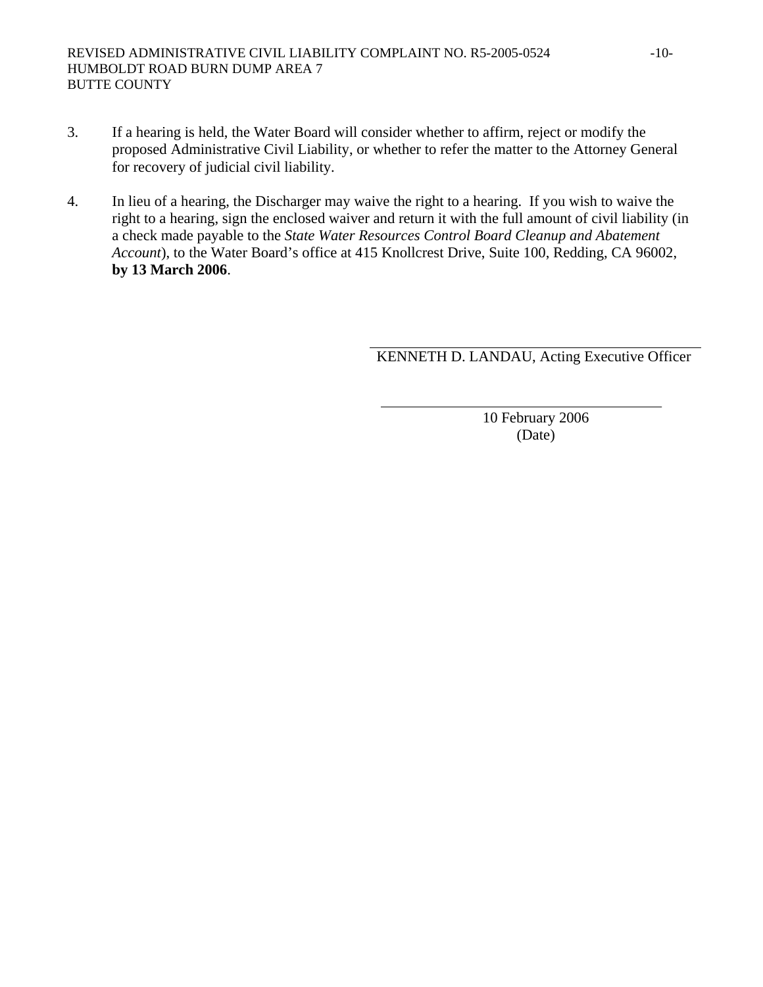- 3. If a hearing is held, the Water Board will consider whether to affirm, reject or modify the proposed Administrative Civil Liability, or whether to refer the matter to the Attorney General for recovery of judicial civil liability.
- 4. In lieu of a hearing, the Discharger may waive the right to a hearing. If you wish to waive the right to a hearing, sign the enclosed waiver and return it with the full amount of civil liability (in a check made payable to the *State Water Resources Control Board Cleanup and Abatement Account*), to the Water Board's office at 415 Knollcrest Drive, Suite 100, Redding, CA 96002, **by 13 March 2006**.

KENNETH D. LANDAU, Acting Executive Officer

10 February 2006 (Date)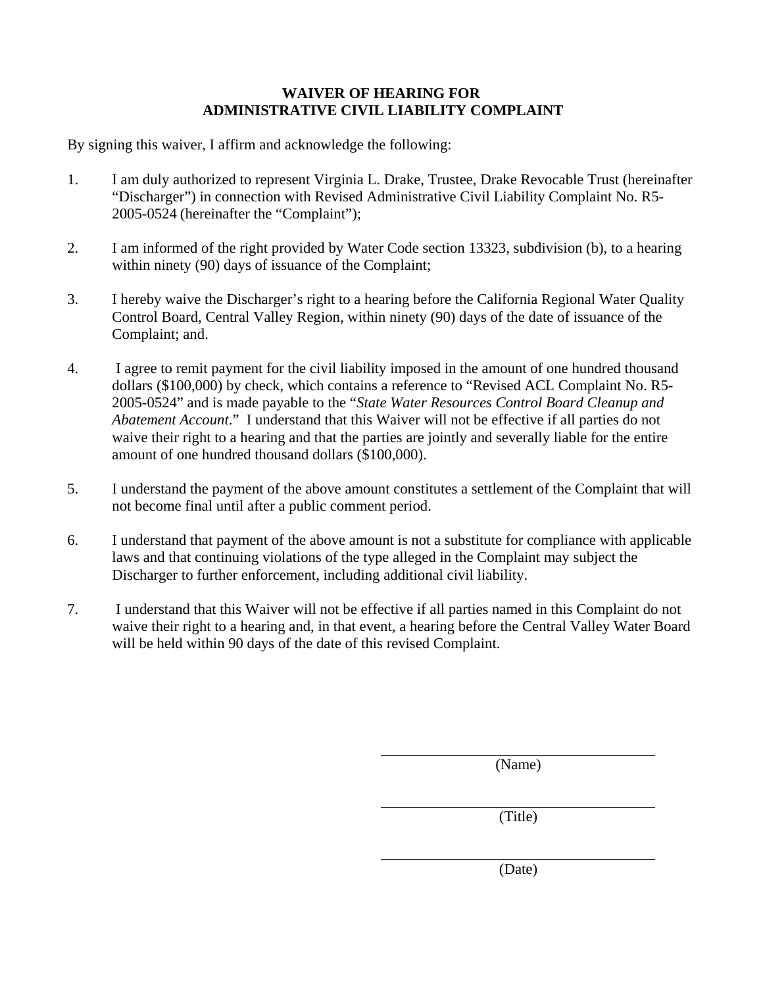# **WAIVER OF HEARING FOR ADMINISTRATIVE CIVIL LIABILITY COMPLAINT**

By signing this waiver, I affirm and acknowledge the following:

- 1. I am duly authorized to represent Virginia L. Drake, Trustee, Drake Revocable Trust (hereinafter "Discharger") in connection with Revised Administrative Civil Liability Complaint No. R5- 2005-0524 (hereinafter the "Complaint");
- 2. I am informed of the right provided by Water Code section 13323, subdivision (b), to a hearing within ninety (90) days of issuance of the Complaint;
- 3. I hereby waive the Discharger's right to a hearing before the California Regional Water Quality Control Board, Central Valley Region, within ninety (90) days of the date of issuance of the Complaint; and.
- 4. I agree to remit payment for the civil liability imposed in the amount of one hundred thousand dollars (\$100,000) by check, which contains a reference to "Revised ACL Complaint No. R5- 2005-0524" and is made payable to the "*State Water Resources Control Board Cleanup and Abatement Account*." I understand that this Waiver will not be effective if all parties do not waive their right to a hearing and that the parties are jointly and severally liable for the entire amount of one hundred thousand dollars (\$100,000).
- 5. I understand the payment of the above amount constitutes a settlement of the Complaint that will not become final until after a public comment period.
- 6. I understand that payment of the above amount is not a substitute for compliance with applicable laws and that continuing violations of the type alleged in the Complaint may subject the Discharger to further enforcement, including additional civil liability.
- 7. I understand that this Waiver will not be effective if all parties named in this Complaint do not waive their right to a hearing and, in that event, a hearing before the Central Valley Water Board will be held within 90 days of the date of this revised Complaint.

(Name)

(Title)

(Date)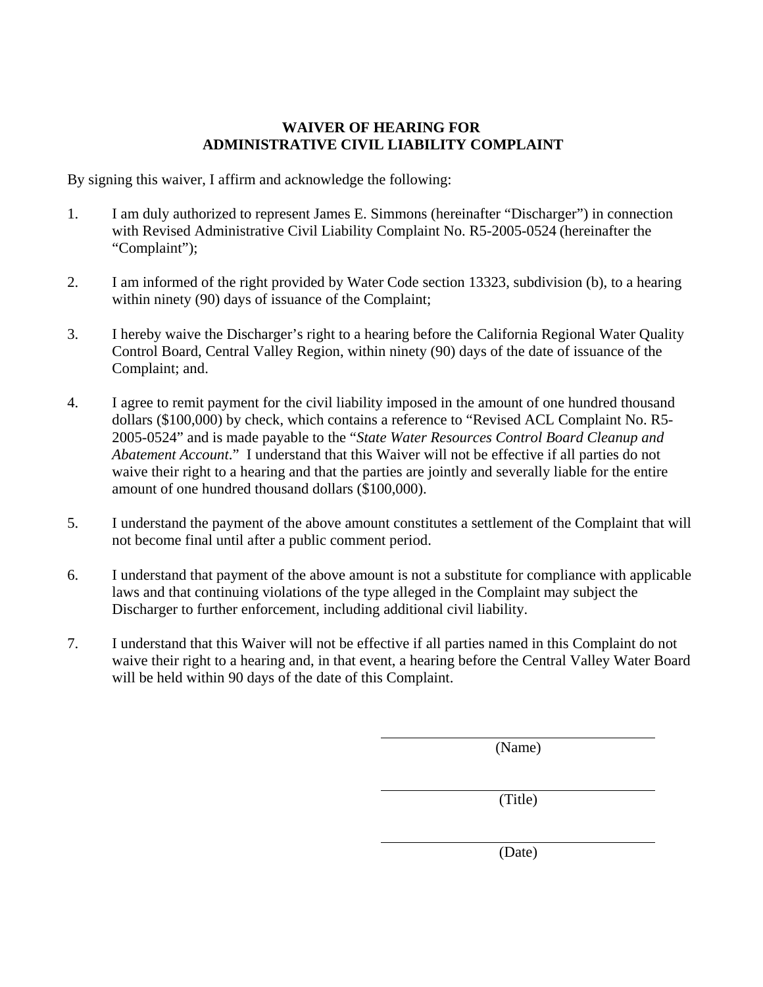## **WAIVER OF HEARING FOR ADMINISTRATIVE CIVIL LIABILITY COMPLAINT**

By signing this waiver, I affirm and acknowledge the following:

- 1. I am duly authorized to represent James E. Simmons (hereinafter "Discharger") in connection with Revised Administrative Civil Liability Complaint No. R5-2005-0524 (hereinafter the "Complaint");
- 2. I am informed of the right provided by Water Code section 13323, subdivision (b), to a hearing within ninety (90) days of issuance of the Complaint;
- 3. I hereby waive the Discharger's right to a hearing before the California Regional Water Quality Control Board, Central Valley Region, within ninety (90) days of the date of issuance of the Complaint; and.
- 4. I agree to remit payment for the civil liability imposed in the amount of one hundred thousand dollars (\$100,000) by check, which contains a reference to "Revised ACL Complaint No. R5- 2005-0524" and is made payable to the "*State Water Resources Control Board Cleanup and Abatement Account*." I understand that this Waiver will not be effective if all parties do not waive their right to a hearing and that the parties are jointly and severally liable for the entire amount of one hundred thousand dollars (\$100,000).
- 5. I understand the payment of the above amount constitutes a settlement of the Complaint that will not become final until after a public comment period.
- 6. I understand that payment of the above amount is not a substitute for compliance with applicable laws and that continuing violations of the type alleged in the Complaint may subject the Discharger to further enforcement, including additional civil liability.
- 7. I understand that this Waiver will not be effective if all parties named in this Complaint do not waive their right to a hearing and, in that event, a hearing before the Central Valley Water Board will be held within 90 days of the date of this Complaint.

(Name)

(Title)

(Date)